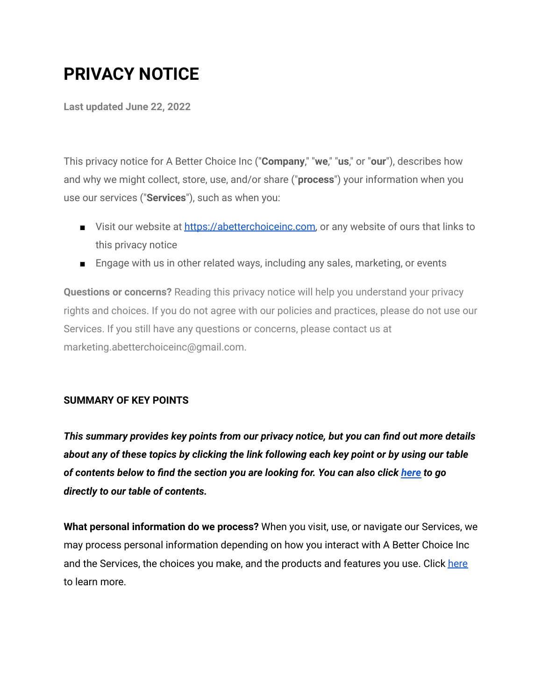# **PRIVACY NOTICE**

**Last updated June 22, 2022**

This privacy notice for A Better Choice Inc ("**Company**," "**we**," "**us**," or "**our**"), describes how and why we might collect, store, use, and/or share ("**process**") your information when you use our services ("**Services**"), such as when you:

- Visit our website at [https://abetterchoiceinc.com,](https://abetterchoiceinc.com/) or any website of ours that links to this privacy notice
- Engage with us in other related ways, including any sales, marketing, or events

**Questions or concerns?** Reading this privacy notice will help you understand your privacy rights and choices. If you do not agree with our policies and practices, please do not use our Services. If you still have any questions or concerns, please contact us at marketing.abetterchoiceinc@gmail.com.

## **SUMMARY OF KEY POINTS**

*This summary provides key points from our privacy notice, but you can find out more details about any of these topics by clicking the link following each key point or by using our table of contents below to find the section you are looking for. You can also click [here](https://app.termly.io/document/privacy-policy/f6866498-2852-4ca1-937e-f59e3cbe77f1#toc) to go directly to our table of contents.*

**What personal information do we process?** When you visit, use, or navigate our Services, we may process personal information depending on how you interact with A Better Choice Inc and the Services, the choices you make, and the products and features you use. Click [here](https://app.termly.io/document/privacy-policy/f6866498-2852-4ca1-937e-f59e3cbe77f1#personalinfo) to learn more.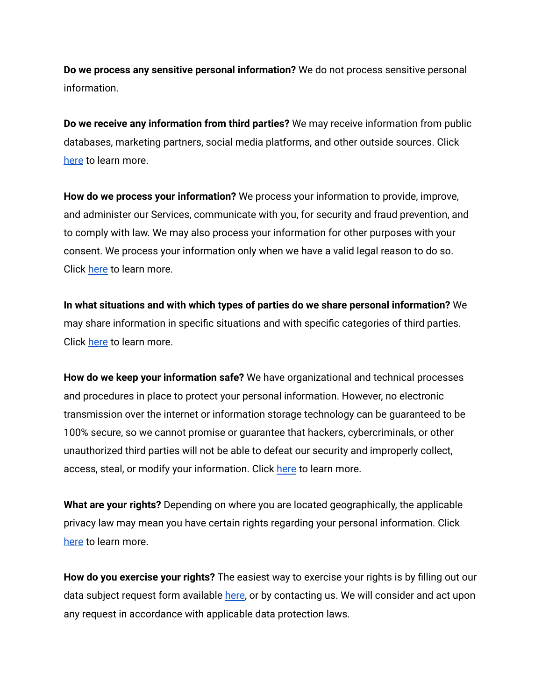**Do we process any sensitive personal information?** We do not process sensitive personal information.

**Do we receive any information from third parties?** We may receive information from public databases, marketing partners, social media platforms, and other outside sources. Click [here](https://app.termly.io/document/privacy-policy/f6866498-2852-4ca1-937e-f59e3cbe77f1#othersources) to learn more.

**How do we process your information?** We process your information to provide, improve, and administer our Services, communicate with you, for security and fraud prevention, and to comply with law. We may also process your information for other purposes with your consent. We process your information only when we have a valid legal reason to do so. Click [here](https://app.termly.io/document/privacy-policy/f6866498-2852-4ca1-937e-f59e3cbe77f1#infouse) to learn more.

**In what situations and with which types of parties do we share personal information?** We may share information in specific situations and with specific categories of third parties. Click [here](https://app.termly.io/document/privacy-policy/f6866498-2852-4ca1-937e-f59e3cbe77f1#whoshare) to learn more.

**How do we keep your information safe?** We have organizational and technical processes and procedures in place to protect your personal information. However, no electronic transmission over the internet or information storage technology can be guaranteed to be 100% secure, so we cannot promise or guarantee that hackers, cybercriminals, or other unauthorized third parties will not be able to defeat our security and improperly collect, access, steal, or modify your information. Click [here](https://app.termly.io/document/privacy-policy/f6866498-2852-4ca1-937e-f59e3cbe77f1#infosafe) to learn more.

**What are your rights?** Depending on where you are located geographically, the applicable privacy law may mean you have certain rights regarding your personal information. Click [here](https://app.termly.io/document/privacy-policy/f6866498-2852-4ca1-937e-f59e3cbe77f1#privacyrights) to learn more.

**How do you exercise your rights?** The easiest way to exercise your rights is by filling out our data subject request form available [here,](https://app.termly.io/notify/f6866498-2852-4ca1-937e-f59e3cbe77f1) or by contacting us. We will consider and act upon any request in accordance with applicable data protection laws.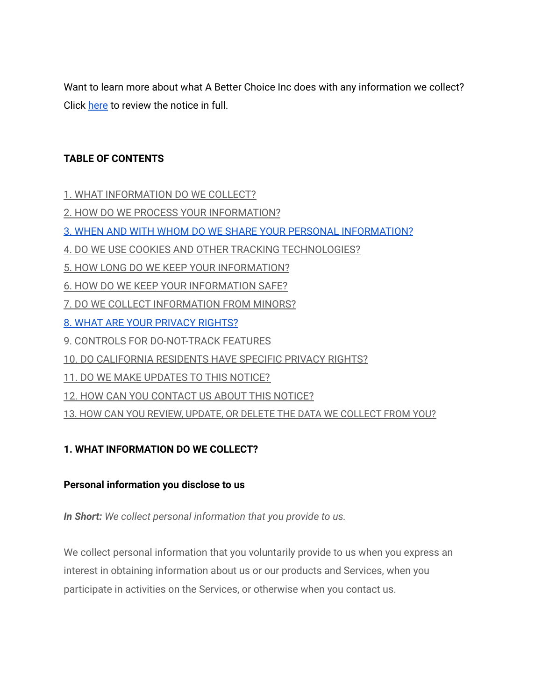Want to learn more about what A Better Choice Inc does with any information we collect? Click [here](https://app.termly.io/document/privacy-policy/f6866498-2852-4ca1-937e-f59e3cbe77f1#toc) to review the notice in full.

## **TABLE OF CONTENTS**

- 1. WHAT [INFORMATION](https://app.termly.io/document/privacy-policy/f6866498-2852-4ca1-937e-f59e3cbe77f1#infocollect) DO WE COLLECT?
- 2. HOW DO WE PROCESS YOUR [INFORMATION?](https://app.termly.io/document/privacy-policy/f6866498-2852-4ca1-937e-f59e3cbe77f1#infouse)
- 3. WHEN AND WITH WHOM DO WE SHARE YOUR PERSONAL [INFORMATION?](https://app.termly.io/document/privacy-policy/f6866498-2852-4ca1-937e-f59e3cbe77f1#whoshare)
- 4. DO WE USE COOKIES AND OTHER TRACKING [TECHNOLOGIES?](https://app.termly.io/document/privacy-policy/f6866498-2852-4ca1-937e-f59e3cbe77f1#cookies)
- 5. HOW LONG DO WE KEEP YOUR [INFORMATION?](https://app.termly.io/document/privacy-policy/f6866498-2852-4ca1-937e-f59e3cbe77f1#inforetain)
- 6. HOW DO WE KEEP YOUR [INFORMATION](https://app.termly.io/document/privacy-policy/f6866498-2852-4ca1-937e-f59e3cbe77f1#infosafe) SAFE?
- 7. DO WE COLLECT [INFORMATION](https://app.termly.io/document/privacy-policy/f6866498-2852-4ca1-937e-f59e3cbe77f1#infominors) FROM MINORS?
- 8. WHAT ARE YOUR [PRIVACY](https://app.termly.io/document/privacy-policy/f6866498-2852-4ca1-937e-f59e3cbe77f1#privacyrights) RIGHTS?
- 9. CONTROLS FOR [DO-NOT-TRACK](https://app.termly.io/document/privacy-policy/f6866498-2852-4ca1-937e-f59e3cbe77f1#DNT) FEATURES
- 10. DO [CALIFORNIA](https://app.termly.io/document/privacy-policy/f6866498-2852-4ca1-937e-f59e3cbe77f1#caresidents) RESIDENTS HAVE SPECIFIC PRIVACY RIGHTS?
- 11. DO WE MAKE [UPDATES](https://app.termly.io/document/privacy-policy/f6866498-2852-4ca1-937e-f59e3cbe77f1#policyupdates) TO THIS NOTICE?
- 12. HOW CAN YOU [CONTACT](https://app.termly.io/document/privacy-policy/f6866498-2852-4ca1-937e-f59e3cbe77f1#contact) US ABOUT THIS NOTICE?
- 13. HOW CAN YOU REVIEW, UPDATE, OR DELETE THE DATA WE [COLLECT](https://app.termly.io/document/privacy-policy/f6866498-2852-4ca1-937e-f59e3cbe77f1#request) FROM YOU?

## **1. WHAT INFORMATION DO WE COLLECT?**

## **Personal information you disclose to us**

*In Short: We collect personal information that you provide to us.*

We collect personal information that you voluntarily provide to us when you express an interest in obtaining information about us or our products and Services, when you participate in activities on the Services, or otherwise when you contact us.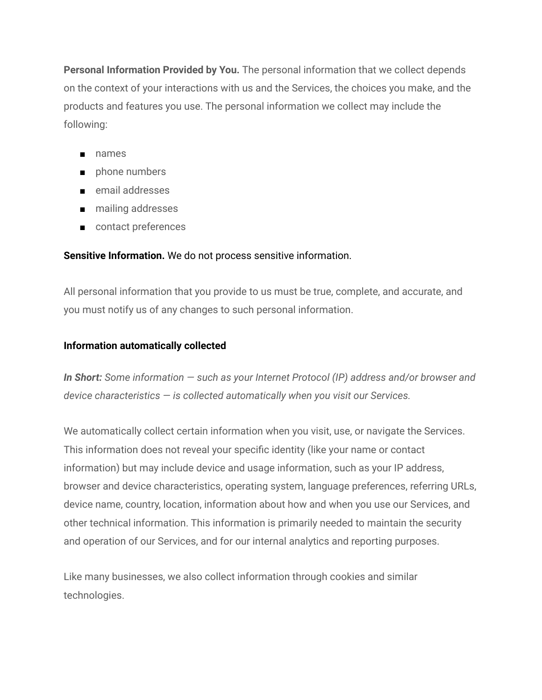**Personal Information Provided by You.** The personal information that we collect depends on the context of your interactions with us and the Services, the choices you make, and the products and features you use. The personal information we collect may include the following:

- names
- phone numbers
- email addresses
- mailing addresses
- contact preferences

## **Sensitive Information.** We do not process sensitive information.

All personal information that you provide to us must be true, complete, and accurate, and you must notify us of any changes to such personal information.

## **Information automatically collected**

*In Short: Some information — such as your Internet Protocol (IP) address and/or browser and device characteristics — is collected automatically when you visit our Services.*

We automatically collect certain information when you visit, use, or navigate the Services. This information does not reveal your specific identity (like your name or contact information) but may include device and usage information, such as your IP address, browser and device characteristics, operating system, language preferences, referring URLs, device name, country, location, information about how and when you use our Services, and other technical information. This information is primarily needed to maintain the security and operation of our Services, and for our internal analytics and reporting purposes.

Like many businesses, we also collect information through cookies and similar technologies.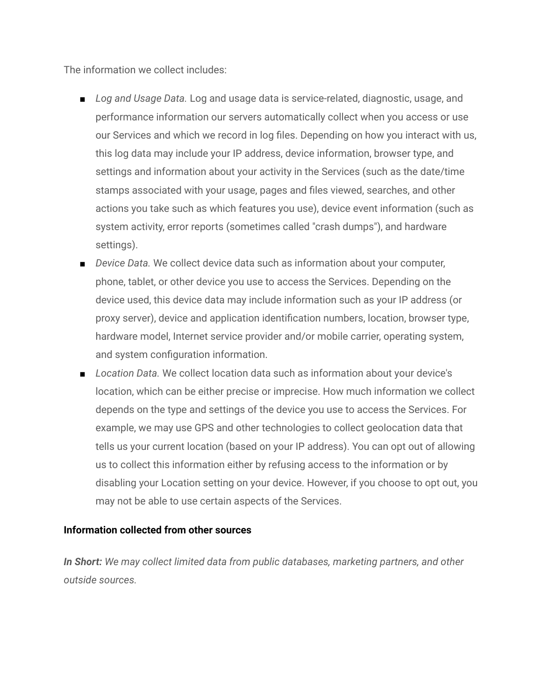The information we collect includes:

- *Log and Usage Data*. Log and usage data is service-related, diagnostic, usage, and performance information our servers automatically collect when you access or use our Services and which we record in log files. Depending on how you interact with us, this log data may include your IP address, device information, browser type, and settings and information about your activity in the Services (such as the date/time stamps associated with your usage, pages and files viewed, searches, and other actions you take such as which features you use), device event information (such as system activity, error reports (sometimes called "crash dumps"), and hardware settings).
- *Device Data*. We collect device data such as information about your computer, phone, tablet, or other device you use to access the Services. Depending on the device used, this device data may include information such as your IP address (or proxy server), device and application identification numbers, location, browser type, hardware model, Internet service provider and/or mobile carrier, operating system, and system configuration information.
- *Location Data.* We collect location data such as information about your device's location, which can be either precise or imprecise. How much information we collect depends on the type and settings of the device you use to access the Services. For example, we may use GPS and other technologies to collect geolocation data that tells us your current location (based on your IP address). You can opt out of allowing us to collect this information either by refusing access to the information or by disabling your Location setting on your device. However, if you choose to opt out, you may not be able to use certain aspects of the Services.

## **Information collected from other sources**

*In Short: We may collect limited data from public databases, marketing partners, and other outside sources.*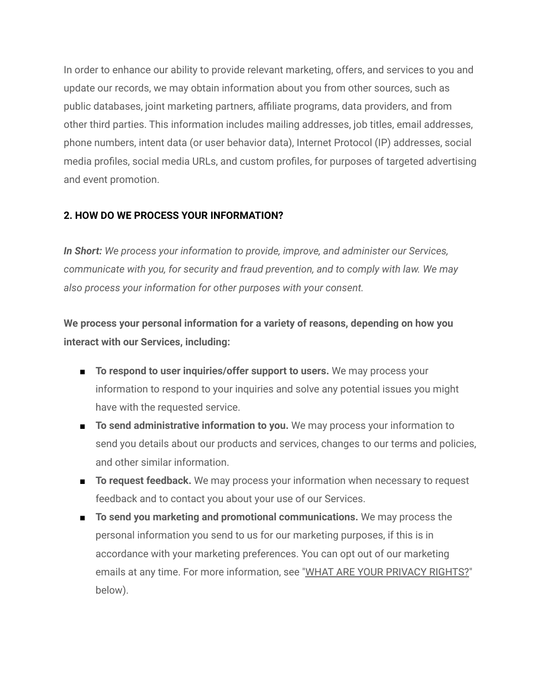In order to enhance our ability to provide relevant marketing, offers, and services to you and update our records, we may obtain information about you from other sources, such as public databases, joint marketing partners, affiliate programs, data providers, and from other third parties. This information includes mailing addresses, job titles, email addresses, phone numbers, intent data (or user behavior data), Internet Protocol (IP) addresses, social media profiles, social media URLs, and custom profiles, for purposes of targeted advertising and event promotion.

## **2. HOW DO WE PROCESS YOUR INFORMATION?**

*In Short: We process your information to provide, improve, and administer our Services, communicate with you, for security and fraud prevention, and to comply with law. We may also process your information for other purposes with your consent.*

**We process your personal information for a variety of reasons, depending on how you interact with our Services, including:**

- **To respond to user inquiries/offer support to users.** We may process your information to respond to your inquiries and solve any potential issues you might have with the requested service.
- **To send administrative information to you.** We may process your information to send you details about our products and services, changes to our terms and policies, and other similar information.
- **To request feedback.** We may process your information when necessary to request feedback and to contact you about your use of our Services.
- **To send you marketing and promotional communications.** We may process the personal information you send to us for our marketing purposes, if this is in accordance with your marketing preferences. You can opt out of our marketing emails at any time. For more information, see "WHAT ARE YOUR [PRIVACY](https://app.termly.io/document/privacy-policy/f6866498-2852-4ca1-937e-f59e3cbe77f1#privacyrights) RIGHTS?" below).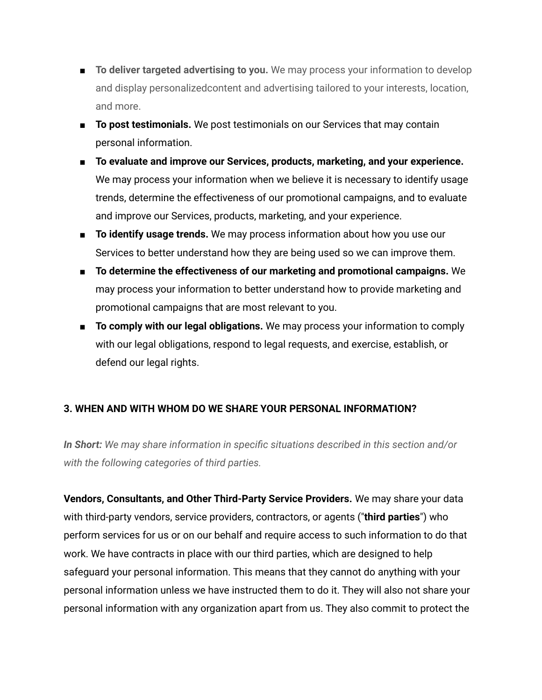- **To deliver targeted advertising to you.** We may process your information to develop and display personalizedcontent and advertising tailored to your interests, location, and more.
- **To post testimonials.** We post testimonials on our Services that may contain personal information.
- **To evaluate and improve our Services, products, marketing, and your experience.** We may process your information when we believe it is necessary to identify usage trends, determine the effectiveness of our promotional campaigns, and to evaluate and improve our Services, products, marketing, and your experience.
- **To identify usage trends.** We may process information about how you use our Services to better understand how they are being used so we can improve them.
- **To determine the effectiveness of our marketing and promotional campaigns.** We may process your information to better understand how to provide marketing and promotional campaigns that are most relevant to you.
- **To comply with our legal obligations.** We may process your information to comply with our legal obligations, respond to legal requests, and exercise, establish, or defend our legal rights.

## **3. WHEN AND WITH WHOM DO WE SHARE YOUR PERSONAL INFORMATION?**

*In Short: We may share information in specific situations described in this section and/or with the following categories of third parties.*

**Vendors, Consultants, and Other Third-Party Service Providers.** We may share your data with third-party vendors, service providers, contractors, or agents ("**third parties**") who perform services for us or on our behalf and require access to such information to do that work. We have contracts in place with our third parties, which are designed to help safeguard your personal information. This means that they cannot do anything with your personal information unless we have instructed them to do it. They will also not share your personal information with any organization apart from us. They also commit to protect the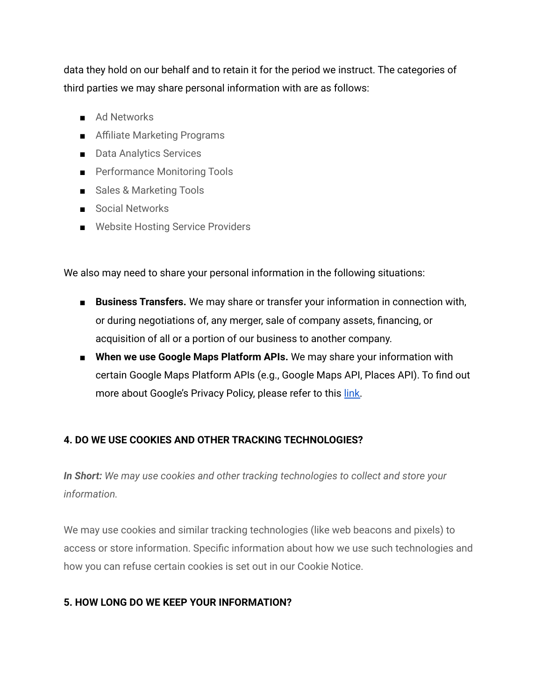data they hold on our behalf and to retain it for the period we instruct. The categories of third parties we may share personal information with are as follows:

- Ad Networks
- Affiliate Marketing Programs
- Data Analytics Services
- Performance Monitoring Tools
- Sales & Marketing Tools
- Social Networks
- Website Hosting Service Providers

We also may need to share your personal information in the following situations:

- **Business Transfers.** We may share or transfer your information in connection with, or during negotiations of, any merger, sale of company assets, financing, or acquisition of all or a portion of our business to another company.
- **When we use Google Maps Platform APIs.** We may share your information with certain Google Maps Platform APIs (e.g., Google Maps API, Places API). To find out more about Google's Privacy Policy, please refer to this [link.](https://policies.google.com/privacy)

## **4. DO WE USE COOKIES AND OTHER TRACKING TECHNOLOGIES?**

*In Short: We may use cookies and other tracking technologies to collect and store your information.*

We may use cookies and similar tracking technologies (like web beacons and pixels) to access or store information. Specific information about how we use such technologies and how you can refuse certain cookies is set out in our Cookie Notice.

## **5. HOW LONG DO WE KEEP YOUR INFORMATION?**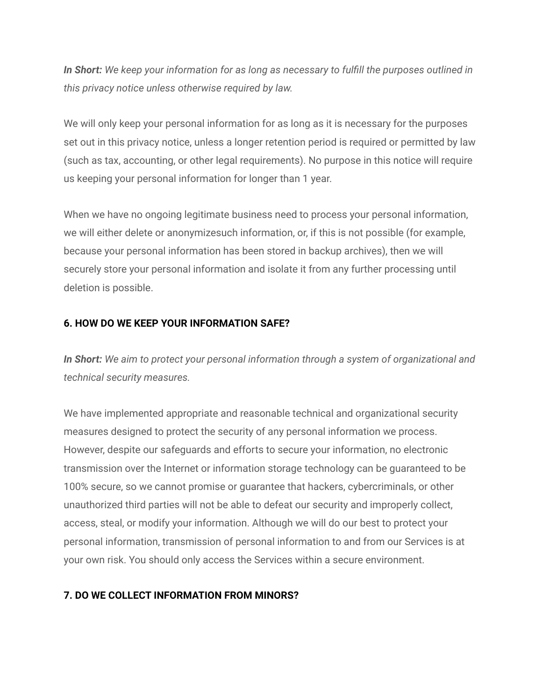*In Short: We keep your information for as long as necessary to fulfill the purposes outlined in this privacy notice unless otherwise required by law.*

We will only keep your personal information for as long as it is necessary for the purposes set out in this privacy notice, unless a longer retention period is required or permitted by law (such as tax, accounting, or other legal requirements). No purpose in this notice will require us keeping your personal information for longer than 1 year.

When we have no ongoing legitimate business need to process your personal information, we will either delete or anonymizesuch information, or, if this is not possible (for example, because your personal information has been stored in backup archives), then we will securely store your personal information and isolate it from any further processing until deletion is possible.

## **6. HOW DO WE KEEP YOUR INFORMATION SAFE?**

*In Short: We aim to protect your personal information through a system of organizational and technical security measures.*

We have implemented appropriate and reasonable technical and organizational security measures designed to protect the security of any personal information we process. However, despite our safeguards and efforts to secure your information, no electronic transmission over the Internet or information storage technology can be guaranteed to be 100% secure, so we cannot promise or guarantee that hackers, cybercriminals, or other unauthorized third parties will not be able to defeat our security and improperly collect, access, steal, or modify your information. Although we will do our best to protect your personal information, transmission of personal information to and from our Services is at your own risk. You should only access the Services within a secure environment.

## **7. DO WE COLLECT INFORMATION FROM MINORS?**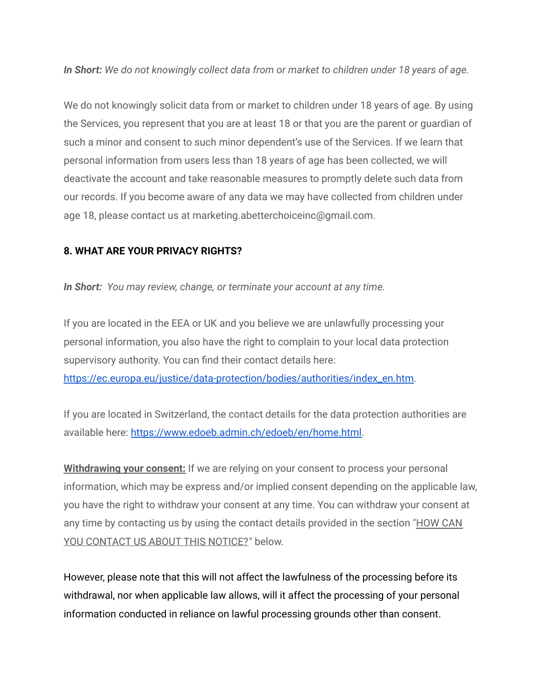*In Short: We do not knowingly collect data from or market to children under 18 years of age.*

We do not knowingly solicit data from or market to children under 18 years of age. By using the Services, you represent that you are at least 18 or that you are the parent or guardian of such a minor and consent to such minor dependent's use of the Services. If we learn that personal information from users less than 18 years of age has been collected, we will deactivate the account and take reasonable measures to promptly delete such data from our records. If you become aware of any data we may have collected from children under age 18, please contact us at marketing.abetterchoiceinc@gmail.com.

## **8. WHAT ARE YOUR PRIVACY RIGHTS?**

*In Short: You may review, change, or terminate your account at any time.*

If you are located in the EEA or UK and you believe we are unlawfully processing your personal information, you also have the right to complain to your local data protection supervisory authority. You can find their contact details here: [https://ec.europa.eu/justice/data-protection/bodies/authorities/index\\_en.htm.](https://ec.europa.eu/justice/data-protection/bodies/authorities/index_en.htm)

If you are located in Switzerland, the contact details for the data protection authorities are available here: [https://www.edoeb.admin.ch/edoeb/en/home.html.](https://www.edoeb.admin.ch/edoeb/en/home.html)

**Withdrawing your consent:** If we are relying on your consent to process your personal information, which may be express and/or implied consent depending on the applicable law, you have the right to withdraw your consent at any time. You can withdraw your consent at any time by contacting us by using the contact details provided in the section ["HOW](https://app.termly.io/document/privacy-policy/f6866498-2852-4ca1-937e-f59e3cbe77f1#contact) CAN YOU [CONTACT](https://app.termly.io/document/privacy-policy/f6866498-2852-4ca1-937e-f59e3cbe77f1#contact) US ABOUT THIS NOTICE?" below.

However, please note that this will not affect the lawfulness of the processing before its withdrawal, nor when applicable law allows, will it affect the processing of your personal information conducted in reliance on lawful processing grounds other than consent.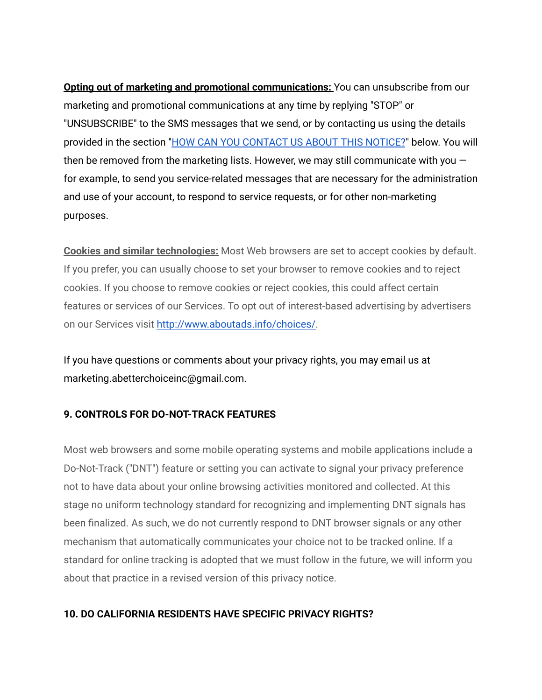**Opting out of marketing and promotional communications:** You can unsubscribe from our marketing and promotional communications at any time by replying "STOP" or "UNSUBSCRIBE" to the SMS messages that we send, or by contacting us using the details provided in the section "HOW CAN YOU [CONTACT](https://app.termly.io/document/privacy-policy/f6866498-2852-4ca1-937e-f59e3cbe77f1#contact) US ABOUT THIS NOTICE?" below. You will then be removed from the marketing lists. However, we may still communicate with you  $$ for example, to send you service-related messages that are necessary for the administration and use of your account, to respond to service requests, or for other non-marketing purposes.

**Cookies and similar technologies:** Most Web browsers are set to accept cookies by default. If you prefer, you can usually choose to set your browser to remove cookies and to reject cookies. If you choose to remove cookies or reject cookies, this could affect certain features or services of our Services. To opt out of interest-based advertising by advertisers on our Services visit [http://www.aboutads.info/choices/.](http://www.aboutads.info/choices/)

If you have questions or comments about your privacy rights, you may email us at marketing.abetterchoiceinc@gmail.com.

## **9. CONTROLS FOR DO-NOT-TRACK FEATURES**

Most web browsers and some mobile operating systems and mobile applications include a Do-Not-Track ("DNT") feature or setting you can activate to signal your privacy preference not to have data about your online browsing activities monitored and collected. At this stage no uniform technology standard for recognizing and implementing DNT signals has been finalized. As such, we do not currently respond to DNT browser signals or any other mechanism that automatically communicates your choice not to be tracked online. If a standard for online tracking is adopted that we must follow in the future, we will inform you about that practice in a revised version of this privacy notice.

#### **10. DO CALIFORNIA RESIDENTS HAVE SPECIFIC PRIVACY RIGHTS?**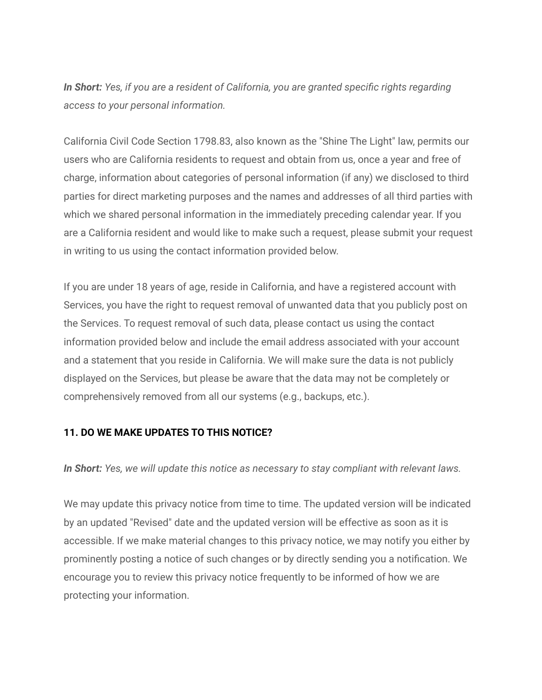*In Short: Yes, if you are a resident of California, you are granted specific rights regarding access to your personal information.*

California Civil Code Section 1798.83, also known as the "Shine The Light" law, permits our users who are California residents to request and obtain from us, once a year and free of charge, information about categories of personal information (if any) we disclosed to third parties for direct marketing purposes and the names and addresses of all third parties with which we shared personal information in the immediately preceding calendar year. If you are a California resident and would like to make such a request, please submit your request in writing to us using the contact information provided below.

If you are under 18 years of age, reside in California, and have a registered account with Services, you have the right to request removal of unwanted data that you publicly post on the Services. To request removal of such data, please contact us using the contact information provided below and include the email address associated with your account and a statement that you reside in California. We will make sure the data is not publicly displayed on the Services, but please be aware that the data may not be completely or comprehensively removed from all our systems (e.g., backups, etc.).

## **11. DO WE MAKE UPDATES TO THIS NOTICE?**

*In Short: Yes, we will update this notice as necessary to stay compliant with relevant laws.*

We may update this privacy notice from time to time. The updated version will be indicated by an updated "Revised" date and the updated version will be effective as soon as it is accessible. If we make material changes to this privacy notice, we may notify you either by prominently posting a notice of such changes or by directly sending you a notification. We encourage you to review this privacy notice frequently to be informed of how we are protecting your information.